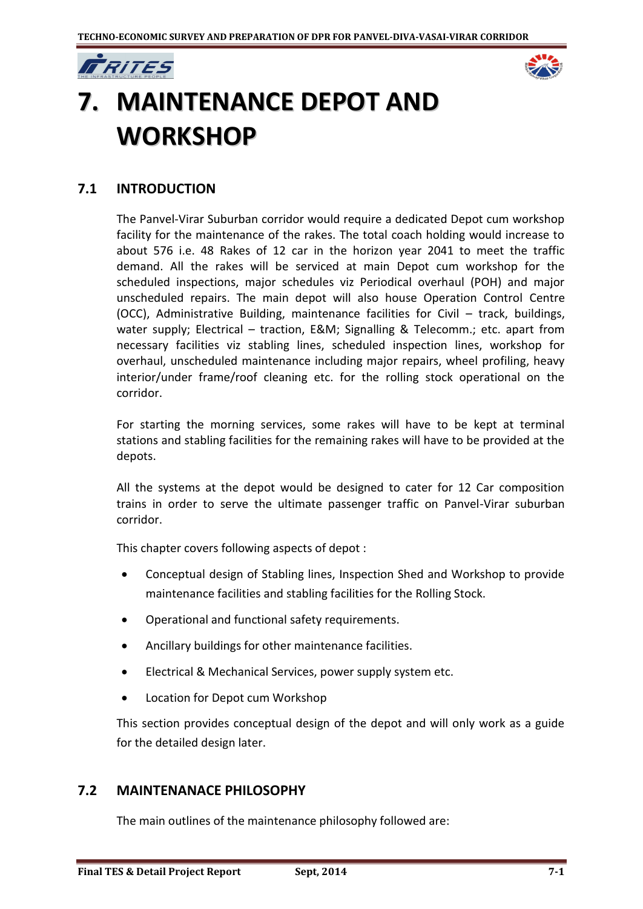



# **7. MAINTENANCE DEPOT AND WORKSHOP**

## **7.1 INTRODUCTION**

The Panvel-Virar Suburban corridor would require a dedicated Depot cum workshop facility for the maintenance of the rakes. The total coach holding would increase to about 576 i.e. 48 Rakes of 12 car in the horizon year 2041 to meet the traffic demand. All the rakes will be serviced at main Depot cum workshop for the scheduled inspections, major schedules viz Periodical overhaul (POH) and major unscheduled repairs. The main depot will also house Operation Control Centre (OCC), Administrative Building, maintenance facilities for Civil – track, buildings, water supply; Electrical – traction, E&M; Signalling & Telecomm.; etc. apart from necessary facilities viz stabling lines, scheduled inspection lines, workshop for overhaul, unscheduled maintenance including major repairs, wheel profiling, heavy interior/under frame/roof cleaning etc. for the rolling stock operational on the corridor.

For starting the morning services, some rakes will have to be kept at terminal stations and stabling facilities for the remaining rakes will have to be provided at the depots.

All the systems at the depot would be designed to cater for 12 Car composition trains in order to serve the ultimate passenger traffic on Panvel-Virar suburban corridor.

This chapter covers following aspects of depot :

- Conceptual design of Stabling lines, Inspection Shed and Workshop to provide maintenance facilities and stabling facilities for the Rolling Stock.
- Operational and functional safety requirements.
- Ancillary buildings for other maintenance facilities.
- Electrical & Mechanical Services, power supply system etc.
- Location for Depot cum Workshop

This section provides conceptual design of the depot and will only work as a guide for the detailed design later.

## **7.2 MAINTENANACE PHILOSOPHY**

The main outlines of the maintenance philosophy followed are: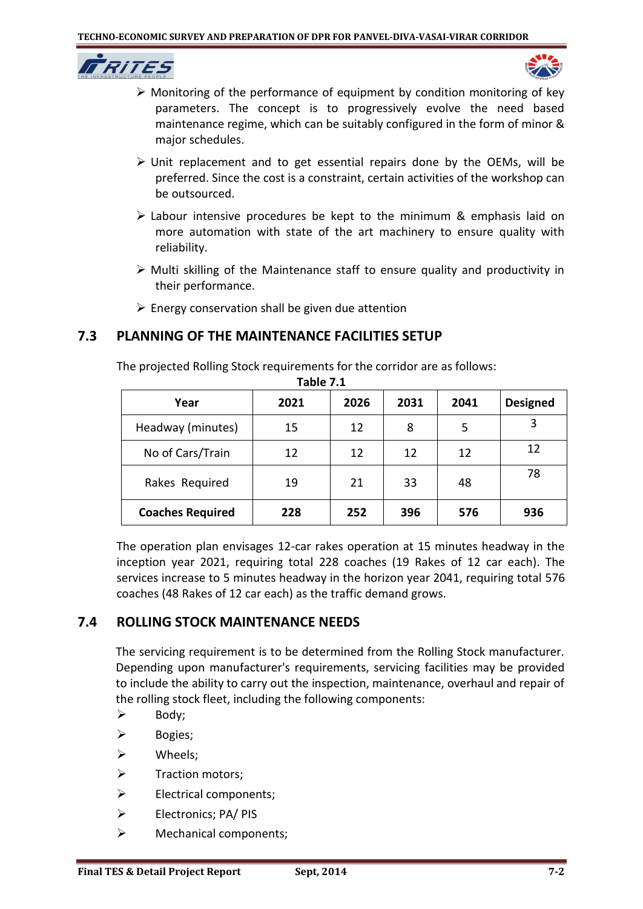



- $\triangleright$  Monitoring of the performance of equipment by condition monitoring of key parameters. The concept is to progressively evolve the need based maintenance regime, which can be suitably configured in the form of minor & major schedules.
- $\triangleright$  Unit replacement and to get essential repairs done by the OEMs, will be preferred. Since the cost is a constraint, certain activities of the workshop can be outsourced.
- $\triangleright$  Labour intensive procedures be kept to the minimum & emphasis laid on more automation with state of the art machinery to ensure quality with reliability.
- $\triangleright$  Multi skilling of the Maintenance staff to ensure quality and productivity in their performance.
- $\triangleright$  Energy conservation shall be given due attention

## **7.3 PLANNING OF THE MAINTENANCE FACILITIES SETUP**

The projected Rolling Stock requirements for the corridor are as follows:

| . <i>.</i>              |      |      |      |      |                 |
|-------------------------|------|------|------|------|-----------------|
| Year                    | 2021 | 2026 | 2031 | 2041 | <b>Designed</b> |
| Headway (minutes)       | 15   | 12   | 8    | 5    | 3               |
| No of Cars/Train        | 12   | 12   | 12   | 12   | 12              |
| Rakes Required          | 19   | 21   | 33   | 48   | 78              |
| <b>Coaches Required</b> | 228  | 252  | 396  | 576  | 936             |

**Table 7.1**

The operation plan envisages 12-car rakes operation at 15 minutes headway in the inception year 2021, requiring total 228 coaches (19 Rakes of 12 car each). The services increase to 5 minutes headway in the horizon year 2041, requiring total 576 coaches (48 Rakes of 12 car each) as the traffic demand grows.

## **7.4 ROLLING STOCK MAINTENANCE NEEDS**

The servicing requirement is to be determined from the Rolling Stock manufacturer. Depending upon manufacturer's requirements, servicing facilities may be provided to include the ability to carry out the inspection, maintenance, overhaul and repair of the rolling stock fleet, including the following components:

- $\triangleright$  Body;
- $\triangleright$  Bogies;
- Wheels;
- $\triangleright$  Traction motors;
- $\triangleright$  Electrical components;
- Electronics; PA/ PIS
- > Mechanical components;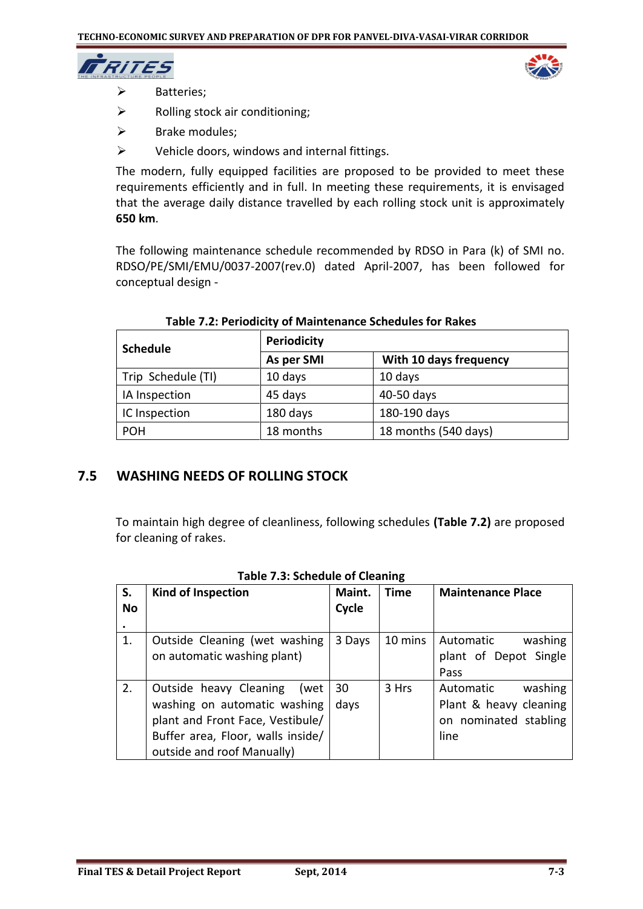

- > Batteries;
- $\triangleright$  Rolling stock air conditioning;
- $\triangleright$  Brake modules;
- $\triangleright$  Vehicle doors, windows and internal fittings.

The modern, fully equipped facilities are proposed to be provided to meet these requirements efficiently and in full. In meeting these requirements, it is envisaged that the average daily distance travelled by each rolling stock unit is approximately **650 km**.

The following maintenance schedule recommended by RDSO in Para (k) of SMI no. RDSO/PE/SMI/EMU/0037-2007(rev.0) dated April-2007, has been followed for conceptual design -

| <b>Schedule</b>    | <b>Periodicity</b> |                        |  |
|--------------------|--------------------|------------------------|--|
|                    | As per SMI         | With 10 days frequency |  |
| Trip Schedule (TI) | 10 days            | 10 days                |  |
| IA Inspection      | 45 days            | 40-50 days             |  |
| IC Inspection      | 180 days           | 180-190 days           |  |
| <b>POH</b>         | 18 months          | 18 months (540 days)   |  |

#### **Table 7.2: Periodicity of Maintenance Schedules for Rakes**

## **7.5 WASHING NEEDS OF ROLLING STOCK**

To maintain high degree of cleanliness, following schedules **(Table 7.2)** are proposed for cleaning of rakes.

| S.<br>No | <b>Kind of Inspection</b>                                                                                                                                             | Maint.<br>Cycle | <b>Time</b> | <b>Maintenance Place</b>                                                        |  |  |  |
|----------|-----------------------------------------------------------------------------------------------------------------------------------------------------------------------|-----------------|-------------|---------------------------------------------------------------------------------|--|--|--|
|          |                                                                                                                                                                       |                 |             |                                                                                 |  |  |  |
| 1.       | Outside Cleaning (wet washing<br>on automatic washing plant)                                                                                                          | 3 Days          | 10 mins     | Automatic<br>washing<br>plant of Depot Single<br>Pass                           |  |  |  |
| 2.       | Outside heavy Cleaning<br>(wet<br>washing on automatic washing<br>plant and Front Face, Vestibule/<br>Buffer area, Floor, walls inside/<br>outside and roof Manually) | 30<br>days      | 3 Hrs       | washing<br>Automatic<br>Plant & heavy cleaning<br>on nominated stabling<br>line |  |  |  |

**Table 7.3: Schedule of Cleaning**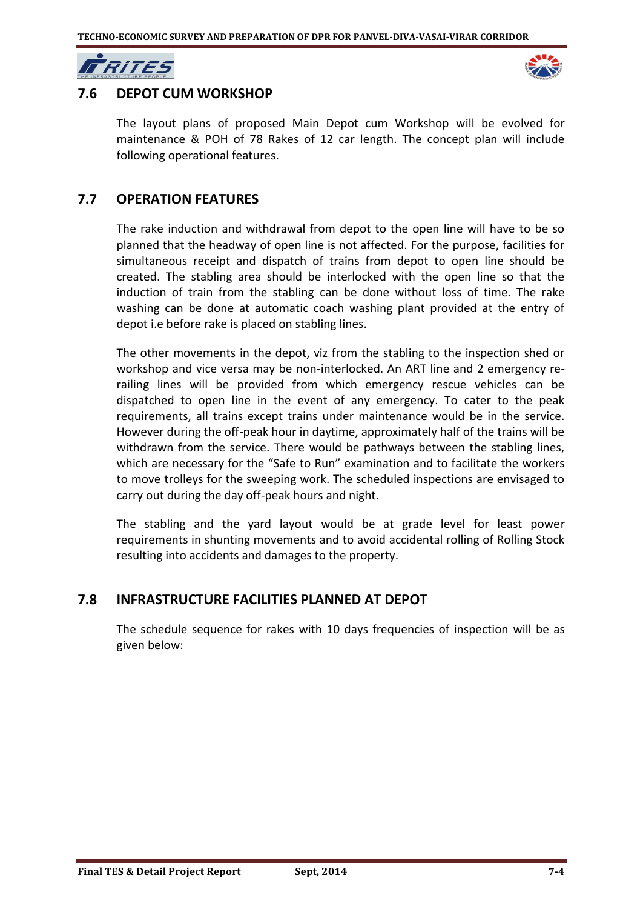MRITES



## **7.6 DEPOT CUM WORKSHOP**

The layout plans of proposed Main Depot cum Workshop will be evolved for maintenance & POH of 78 Rakes of 12 car length. The concept plan will include following operational features.

## **7.7 OPERATION FEATURES**

The rake induction and withdrawal from depot to the open line will have to be so planned that the headway of open line is not affected. For the purpose, facilities for simultaneous receipt and dispatch of trains from depot to open line should be created. The stabling area should be interlocked with the open line so that the induction of train from the stabling can be done without loss of time. The rake washing can be done at automatic coach washing plant provided at the entry of depot i.e before rake is placed on stabling lines.

The other movements in the depot, viz from the stabling to the inspection shed or workshop and vice versa may be non-interlocked. An ART line and 2 emergency rerailing lines will be provided from which emergency rescue vehicles can be dispatched to open line in the event of any emergency. To cater to the peak requirements, all trains except trains under maintenance would be in the service. However during the off-peak hour in daytime, approximately half of the trains will be withdrawn from the service. There would be pathways between the stabling lines, which are necessary for the "Safe to Run" examination and to facilitate the workers to move trolleys for the sweeping work. The scheduled inspections are envisaged to carry out during the day off-peak hours and night.

The stabling and the yard layout would be at grade level for least power requirements in shunting movements and to avoid accidental rolling of Rolling Stock resulting into accidents and damages to the property.

## **7.8 INFRASTRUCTURE FACILITIES PLANNED AT DEPOT**

The schedule sequence for rakes with 10 days frequencies of inspection will be as given below: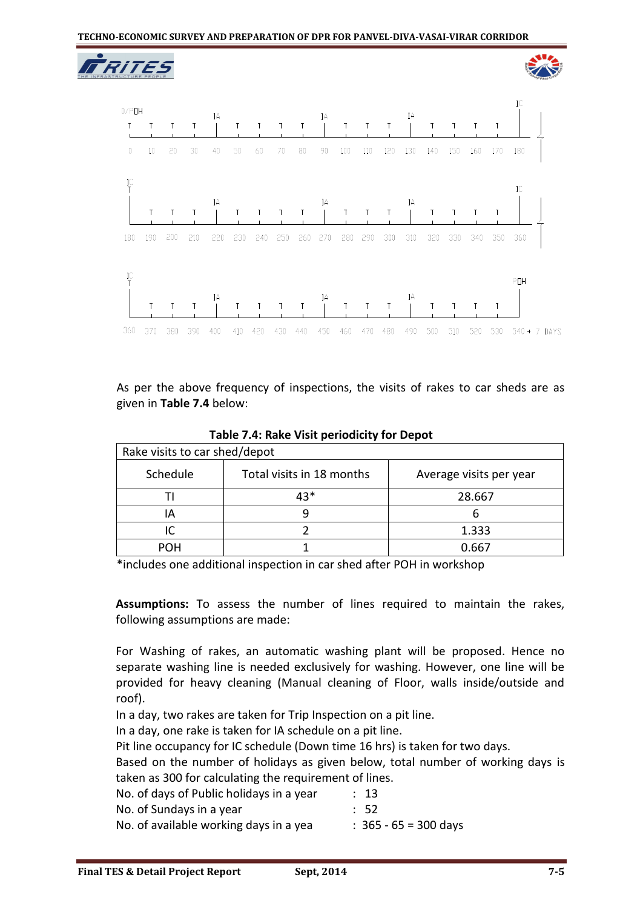



As per the above frequency of inspections, the visits of rakes to car sheds are as given in **Table 7.4** below:

**Table 7.4: Rake Visit periodicity for Depot**

| Rake visits to car shed/depot |                           |                         |  |  |
|-------------------------------|---------------------------|-------------------------|--|--|
| Schedule                      | Total visits in 18 months | Average visits per year |  |  |
|                               | 43*                       | 28.667                  |  |  |
| IΑ                            |                           |                         |  |  |
|                               |                           | 1.333                   |  |  |
| POH                           |                           | 0.667                   |  |  |

\*includes one additional inspection in car shed after POH in workshop

**Assumptions:** To assess the number of lines required to maintain the rakes, following assumptions are made:

For Washing of rakes, an automatic washing plant will be proposed. Hence no separate washing line is needed exclusively for washing. However, one line will be provided for heavy cleaning (Manual cleaning of Floor, walls inside/outside and roof).

In a day, two rakes are taken for Trip Inspection on a pit line.

In a day, one rake is taken for IA schedule on a pit line.

Pit line occupancy for IC schedule (Down time 16 hrs) is taken for two days.

Based on the number of holidays as given below, total number of working days is taken as 300 for calculating the requirement of lines.

No. of days of Public holidays in a year : 13

- No. of Sundays in a year **: 52**
- No. of available working days in a yea  $\hspace{1cm}$  : 365 65 = 300 days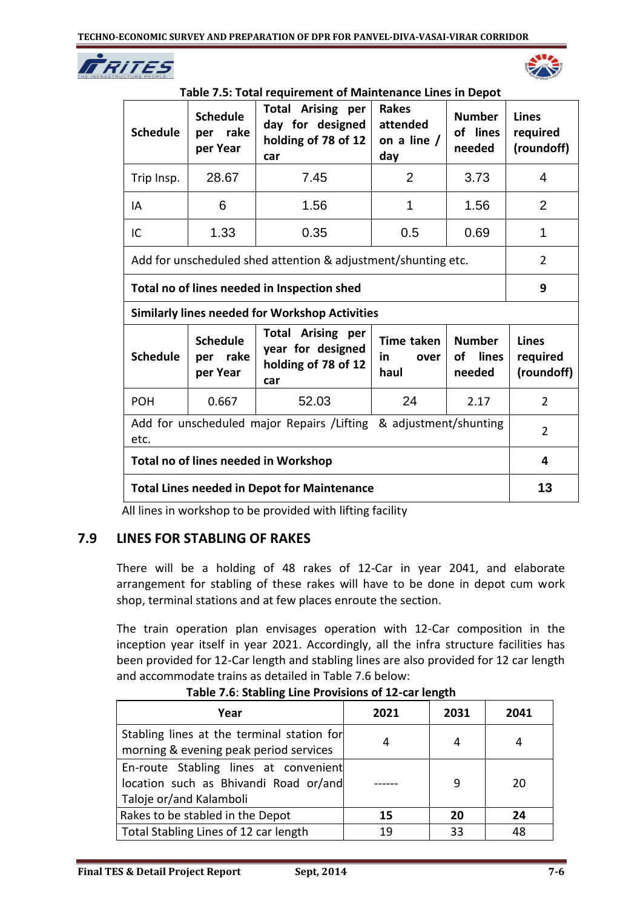



| Table 7.5: Total requirement of Maintenance Lines in Depot |  |
|------------------------------------------------------------|--|
|------------------------------------------------------------|--|

| <b>Schedule</b>                                                                                                                                                                                                                 | <b>Schedule</b><br>per rake<br>per Year | <b>Total Arising per</b><br>day for designed<br>holding of 78 of 12<br>car | <b>Rakes</b><br>attended<br>on a line /<br>day | <b>Number</b><br>of lines<br>needed | <b>Lines</b><br>required<br>(roundoff) |
|---------------------------------------------------------------------------------------------------------------------------------------------------------------------------------------------------------------------------------|-----------------------------------------|----------------------------------------------------------------------------|------------------------------------------------|-------------------------------------|----------------------------------------|
| Trip Insp.                                                                                                                                                                                                                      | 28.67                                   | 7.45                                                                       | $\overline{2}$                                 | 3.73                                | $\overline{4}$                         |
| IA                                                                                                                                                                                                                              | 6                                       | 1.56                                                                       | 1                                              | 1.56                                | 2                                      |
| IC                                                                                                                                                                                                                              | 1.33                                    | 0.35                                                                       | 0.5                                            | 0.69                                | 1                                      |
|                                                                                                                                                                                                                                 |                                         | Add for unscheduled shed attention & adjustment/shunting etc.              |                                                |                                     | $\overline{2}$                         |
| Total no of lines needed in Inspection shed                                                                                                                                                                                     |                                         |                                                                            |                                                |                                     | 9                                      |
|                                                                                                                                                                                                                                 |                                         | <b>Similarly lines needed for Workshop Activities</b>                      |                                                |                                     |                                        |
| <b>Total Arising per</b><br><b>Schedule</b><br><b>Number</b><br>Time taken<br>year for designed<br><b>Schedule</b><br>per rake<br>lines<br><b>of</b><br>in.<br>over<br>holding of 78 of 12<br>per Year<br>haul<br>needed<br>car |                                         |                                                                            |                                                |                                     | <b>Lines</b><br>required<br>(roundoff) |
| 52.03<br>24<br><b>POH</b><br>0.667<br>2.17                                                                                                                                                                                      |                                         |                                                                            |                                                |                                     | $\overline{2}$                         |
| Add for unscheduled major Repairs / Lifting & adjustment/shunting<br>etc.                                                                                                                                                       |                                         |                                                                            |                                                |                                     | $\overline{2}$                         |
| Total no of lines needed in Workshop                                                                                                                                                                                            |                                         |                                                                            |                                                | 4                                   |                                        |
| <b>Total Lines needed in Depot for Maintenance</b>                                                                                                                                                                              |                                         |                                                                            |                                                | 13                                  |                                        |

All lines in workshop to be provided with lifting facility

## **7.9 LINES FOR STABLING OF RAKES**

There will be a holding of 48 rakes of 12-Car in year 2041, and elaborate arrangement for stabling of these rakes will have to be done in depot cum work shop, terminal stations and at few places enroute the section.

The train operation plan envisages operation with 12-Car composition in the inception year itself in year 2021. Accordingly, all the infra structure facilities has been provided for 12-Car length and stabling lines are also provided for 12 car length and accommodate trains as detailed in Table 7.6 below:

| Year                                                                                                      | 2021 | 2031 | 2041 |
|-----------------------------------------------------------------------------------------------------------|------|------|------|
| Stabling lines at the terminal station for<br>morning & evening peak period services                      |      |      |      |
| En-route Stabling lines at convenient<br>location such as Bhivandi Road or/and<br>Taloje or/and Kalamboli |      | 9    | 20   |
| Rakes to be stabled in the Depot                                                                          | 15   | 20   | 24   |
| Total Stabling Lines of 12 car length                                                                     | 19   | 33   | 48   |

**Table 7.6**: **Stabling Line Provisions of 12-car length**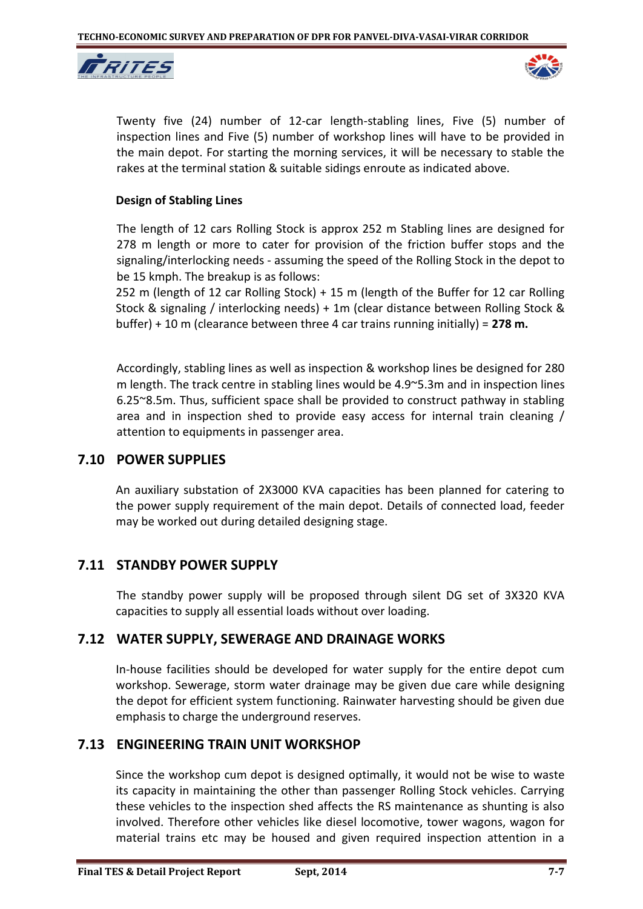



Twenty five (24) number of 12-car length-stabling lines, Five (5) number of inspection lines and Five (5) number of workshop lines will have to be provided in the main depot. For starting the morning services, it will be necessary to stable the rakes at the terminal station & suitable sidings enroute as indicated above.

#### **Design of Stabling Lines**

The length of 12 cars Rolling Stock is approx 252 m Stabling lines are designed for 278 m length or more to cater for provision of the friction buffer stops and the signaling/interlocking needs - assuming the speed of the Rolling Stock in the depot to be 15 kmph. The breakup is as follows:

252 m (length of 12 car Rolling Stock) + 15 m (length of the Buffer for 12 car Rolling Stock & signaling / interlocking needs) + 1m (clear distance between Rolling Stock & buffer) + 10 m (clearance between three 4 car trains running initially) = **278 m.**

Accordingly, stabling lines as well as inspection & workshop lines be designed for 280 m length. The track centre in stabling lines would be 4.9~5.3m and in inspection lines 6.25~8.5m. Thus, sufficient space shall be provided to construct pathway in stabling area and in inspection shed to provide easy access for internal train cleaning / attention to equipments in passenger area.

#### **7.10 POWER SUPPLIES**

An auxiliary substation of 2X3000 KVA capacities has been planned for catering to the power supply requirement of the main depot. Details of connected load, feeder may be worked out during detailed designing stage.

## **7.11 STANDBY POWER SUPPLY**

The standby power supply will be proposed through silent DG set of 3X320 KVA capacities to supply all essential loads without over loading.

## **7.12 WATER SUPPLY, SEWERAGE AND DRAINAGE WORKS**

In-house facilities should be developed for water supply for the entire depot cum workshop. Sewerage, storm water drainage may be given due care while designing the depot for efficient system functioning. Rainwater harvesting should be given due emphasis to charge the underground reserves.

## **7.13 ENGINEERING TRAIN UNIT WORKSHOP**

Since the workshop cum depot is designed optimally, it would not be wise to waste its capacity in maintaining the other than passenger Rolling Stock vehicles. Carrying these vehicles to the inspection shed affects the RS maintenance as shunting is also involved. Therefore other vehicles like diesel locomotive, tower wagons, wagon for material trains etc may be housed and given required inspection attention in a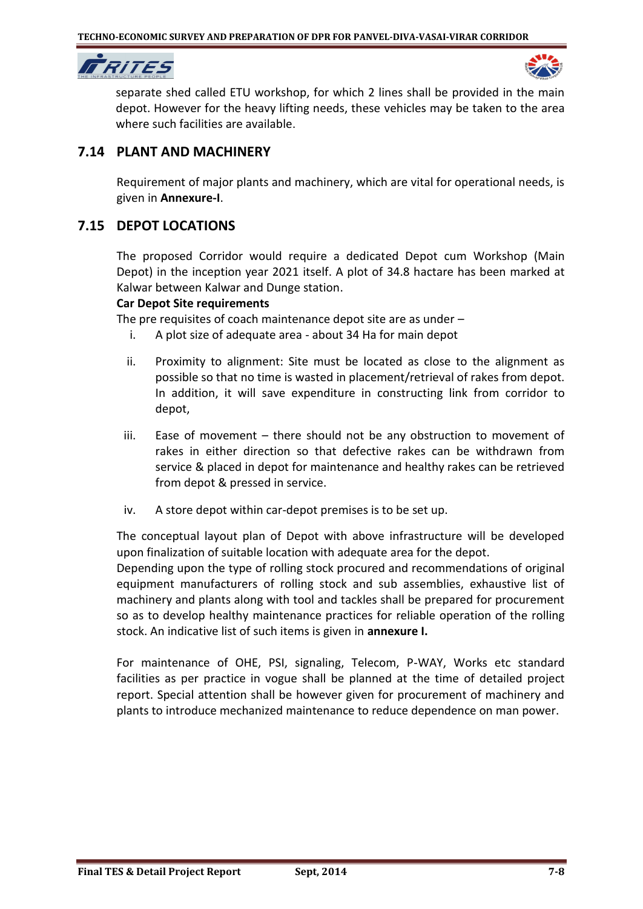



separate shed called ETU workshop, for which 2 lines shall be provided in the main depot. However for the heavy lifting needs, these vehicles may be taken to the area where such facilities are available.

## **7.14 PLANT AND MACHINERY**

Requirement of major plants and machinery, which are vital for operational needs, is given in **Annexure-I**.

## **7.15 DEPOT LOCATIONS**

The proposed Corridor would require a dedicated Depot cum Workshop (Main Depot) in the inception year 2021 itself. A plot of 34.8 hactare has been marked at Kalwar between Kalwar and Dunge station.

#### **Car Depot Site requirements**

The pre requisites of coach maintenance depot site are as under –

- i. A plot size of adequate area about 34 Ha for main depot
- ii. Proximity to alignment: Site must be located as close to the alignment as possible so that no time is wasted in placement/retrieval of rakes from depot. In addition, it will save expenditure in constructing link from corridor to depot,
- iii. Ease of movement there should not be any obstruction to movement of rakes in either direction so that defective rakes can be withdrawn from service & placed in depot for maintenance and healthy rakes can be retrieved from depot & pressed in service.
- iv. A store depot within car-depot premises is to be set up.

The conceptual layout plan of Depot with above infrastructure will be developed upon finalization of suitable location with adequate area for the depot.

Depending upon the type of rolling stock procured and recommendations of original equipment manufacturers of rolling stock and sub assemblies, exhaustive list of machinery and plants along with tool and tackles shall be prepared for procurement so as to develop healthy maintenance practices for reliable operation of the rolling stock. An indicative list of such items is given in **annexure I.**

For maintenance of OHE, PSI, signaling, Telecom, P-WAY, Works etc standard facilities as per practice in vogue shall be planned at the time of detailed project report. Special attention shall be however given for procurement of machinery and plants to introduce mechanized maintenance to reduce dependence on man power.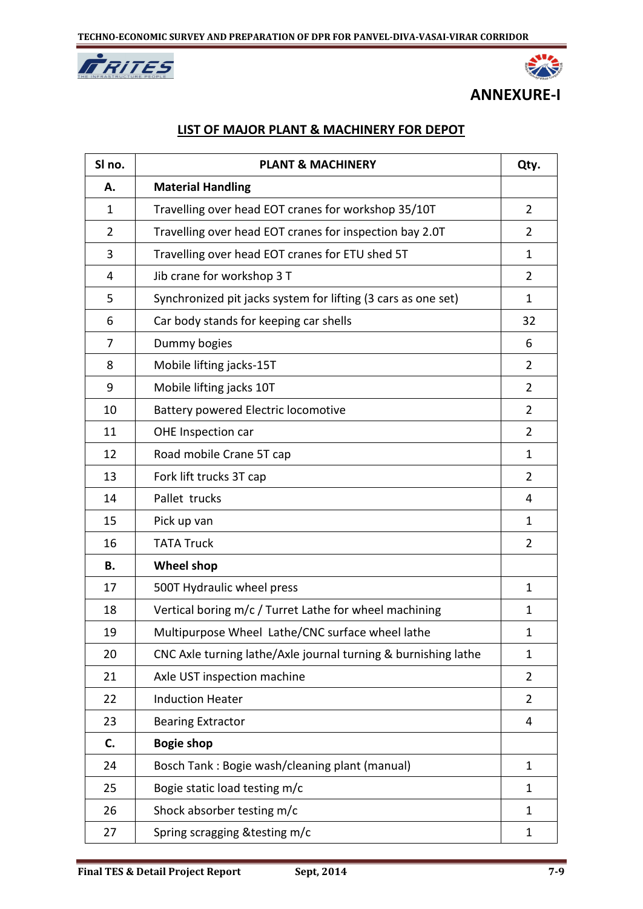



## **ANNEXURE-I**

## **LIST OF MAJOR PLANT & MACHINERY FOR DEPOT**

| SI no.         | <b>PLANT &amp; MACHINERY</b>                                   | Qty.           |
|----------------|----------------------------------------------------------------|----------------|
| А.             | <b>Material Handling</b>                                       |                |
| 1              | Travelling over head EOT cranes for workshop 35/10T            | $\overline{2}$ |
| $\overline{2}$ | Travelling over head EOT cranes for inspection bay 2.0T        | $\overline{2}$ |
| 3              | Travelling over head EOT cranes for ETU shed 5T                | 1              |
| 4              | Jib crane for workshop 3 T                                     | $\overline{2}$ |
| 5              | Synchronized pit jacks system for lifting (3 cars as one set)  | 1              |
| 6              | Car body stands for keeping car shells                         | 32             |
| 7              | Dummy bogies                                                   | 6              |
| 8              | Mobile lifting jacks-15T                                       | $\overline{2}$ |
| 9              | Mobile lifting jacks 10T                                       | 2              |
| 10             | Battery powered Electric locomotive                            | $\overline{2}$ |
| 11             | OHE Inspection car                                             | $\overline{2}$ |
| 12             | Road mobile Crane 5T cap                                       | $\mathbf{1}$   |
| 13             | Fork lift trucks 3T cap                                        | $\overline{2}$ |
| 14             | Pallet trucks                                                  | 4              |
| 15             | Pick up van                                                    | 1              |
| 16             | <b>TATA Truck</b>                                              | $\overline{2}$ |
| В.             | <b>Wheel shop</b>                                              |                |
| 17             | 500T Hydraulic wheel press                                     | 1              |
| 18             | Vertical boring m/c / Turret Lathe for wheel machining         | 1              |
| 19             | Multipurpose Wheel Lathe/CNC surface wheel lathe               | 1              |
| 20             | CNC Axle turning lathe/Axle journal turning & burnishing lathe | 1              |
| 21             | Axle UST inspection machine                                    | $\overline{2}$ |
| 22             | <b>Induction Heater</b>                                        | $\overline{2}$ |
| 23             | <b>Bearing Extractor</b>                                       | 4              |
| C.             | <b>Bogie shop</b>                                              |                |
| 24             | Bosch Tank: Bogie wash/cleaning plant (manual)                 | 1              |
| 25             | Bogie static load testing m/c                                  | 1              |
| 26             | Shock absorber testing m/c                                     | 1              |
| 27             | Spring scragging & testing m/c                                 | 1              |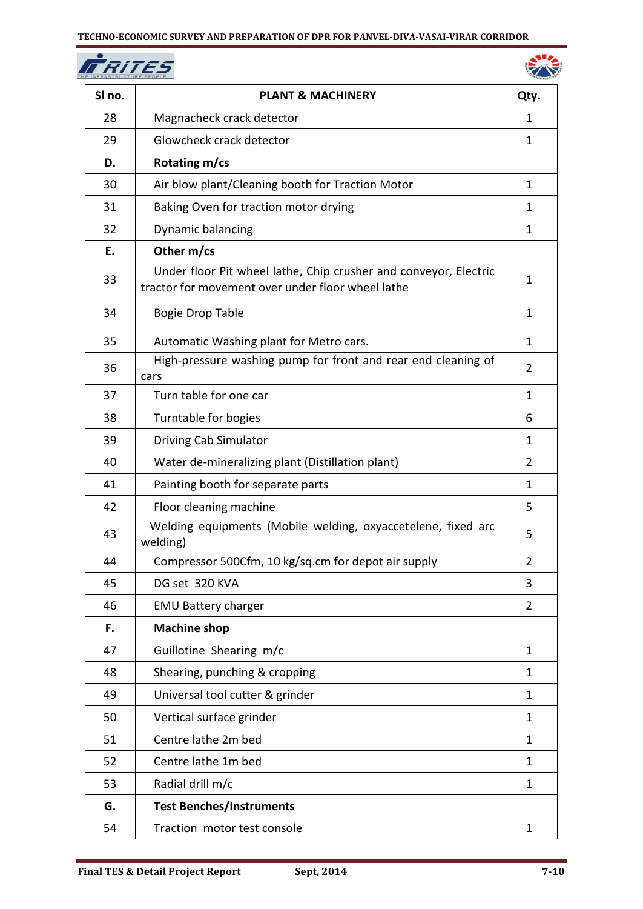**FRITES** 



| SI no. | <b>PLANT &amp; MACHINERY</b>                                                                                          | Qty.           |
|--------|-----------------------------------------------------------------------------------------------------------------------|----------------|
| 28     | Magnacheck crack detector                                                                                             | 1              |
| 29     | Glowcheck crack detector                                                                                              | $\mathbf{1}$   |
| D.     | Rotating m/cs                                                                                                         |                |
| 30     | Air blow plant/Cleaning booth for Traction Motor                                                                      | 1              |
| 31     | Baking Oven for traction motor drying                                                                                 | 1              |
| 32     | Dynamic balancing                                                                                                     | $\mathbf{1}$   |
| Е.     | Other m/cs                                                                                                            |                |
| 33     | Under floor Pit wheel lathe, Chip crusher and conveyor, Electric<br>tractor for movement over under floor wheel lathe | 1              |
| 34     | <b>Bogie Drop Table</b>                                                                                               | 1              |
| 35     | Automatic Washing plant for Metro cars.                                                                               | $\mathbf{1}$   |
| 36     | High-pressure washing pump for front and rear end cleaning of<br>cars                                                 | 2              |
| 37     | Turn table for one car                                                                                                | 1              |
| 38     | Turntable for bogies                                                                                                  | 6              |
| 39     | Driving Cab Simulator                                                                                                 | 1              |
| 40     | Water de-mineralizing plant (Distillation plant)                                                                      | $\overline{2}$ |
| 41     | Painting booth for separate parts                                                                                     | 1              |
| 42     | Floor cleaning machine                                                                                                | 5              |
| 43     | Welding equipments (Mobile welding, oxyaccetelene, fixed arc<br>welding)                                              | 5              |
| 44     | Compressor 500Cfm, 10 kg/sq.cm for depot air supply                                                                   | $\overline{2}$ |
| 45     | DG set 320 KVA                                                                                                        | 3              |
| 46     | <b>EMU Battery charger</b>                                                                                            | $\overline{2}$ |
| F.     | <b>Machine shop</b>                                                                                                   |                |
| 47     | Guillotine Shearing m/c                                                                                               | 1              |
| 48     | Shearing, punching & cropping                                                                                         | 1              |
| 49     | Universal tool cutter & grinder                                                                                       | 1              |
| 50     | Vertical surface grinder                                                                                              | 1              |
| 51     | Centre lathe 2m bed                                                                                                   | 1              |
| 52     | Centre lathe 1m bed                                                                                                   | 1              |
| 53     | Radial drill m/c                                                                                                      | 1              |
| G.     | <b>Test Benches/Instruments</b>                                                                                       |                |
| 54     | Traction motor test console                                                                                           | 1              |